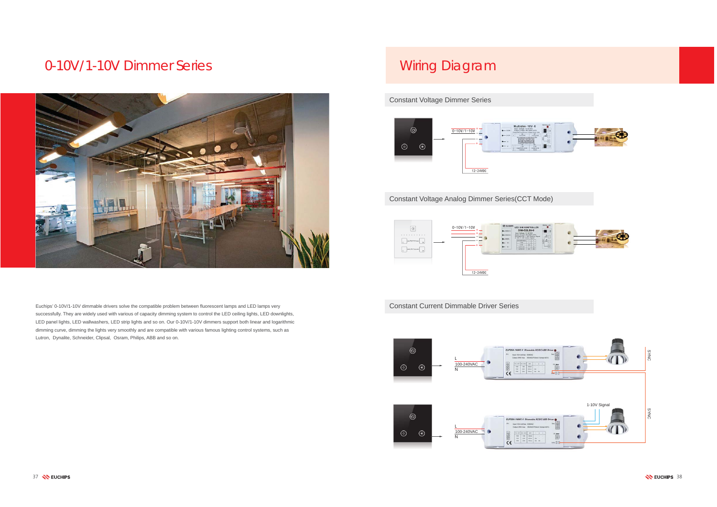

## 0-10V/1-10V Dimmer Series



Constant Voltage Dimmer Series

Constant Voltage Analog Dimmer Series(CCT Mode)



## Wiring Diagram

Euchips' 0-10V/1-10V dimmable drivers solve the compatible problem between fluorescent lamps and LED lamps very successfully. They are widely used with various of capacity dimming system to control the LED ceiling lights, LED downlights, LED panel lights, LED wallwashers, LED strip lights and so on. Our 0-10V/1-10V dimmers support both linear and logarithmic dimming curve, dimming the lights very smoothly and are compatible with various famous lighting control systems, such as Lutron, Dynalite, Schneider, Clipsal, Osram, Philips, ABB and so on.



**Constant Current Dimmable Driver Series**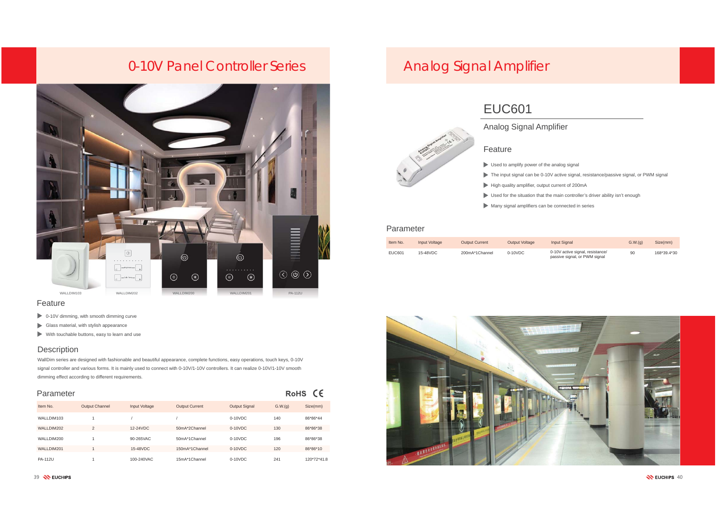#### Feature

### Parameter

| <b>RoHS</b> |  |
|-------------|--|
|-------------|--|

- 100-10V dimming, with smooth dimming curve
- Glass material, with stylish appearance
- With touchable buttons, easy to learn and use

### **Description**

- Used to amplify power of the analog signal
- 
- High quality amplifier, output current of 200mA
- 
- Many signal amplifiers can be connected in series

WallDim series are designed with fashionable and beautiful appearance, complete functions, easy operations, touch keys, 0-10V signal controller and various forms. It is mainly used to connect with 0-10V/1-10V controllers. It can realize 0-10V/1-10V smooth dimming effect according to different requirements.

#### Feature

## Parameter

|                |                       |               |                       |                      |         | - -         |
|----------------|-----------------------|---------------|-----------------------|----------------------|---------|-------------|
| Item No.       | <b>Output Channel</b> | Input Voltage | <b>Output Current</b> | <b>Output Signal</b> | G.W.(q) | Size(mm)    |
| WALLDIM103     |                       |               |                       | $0-10VDC$            | 140     | 86*86*44    |
| WALLDIM202     | $\overline{2}$        | 12-24VDC      | 50mA*2Channel         | $0-10VDC$            | 130     | 86*86*38    |
| WALLDIM200     |                       | 90-265VAC     | 50mA*1Channel         | $0-10VDC$            | 196     | 86*86*38    |
| WALLDIM201     |                       | 15-48VDC      | 150mA*1Channel        | $0-10VDC$            | 120     | 86*86*10    |
| <b>PA-112U</b> |                       | 100-240VAC    | 15mA*1Channel         | $0-10VDC$            | 241     | 120*72*41.8 |



## Analog Signal Amplifier

- 
- The input signal can be 0-10V active signal, resistance/passive signal, or PWM signal
	-
- Used for the situation that the main controller's driver ability isn't enough
	-

 $9 \sqrt{2}$  euchips  $40$ 

## EUC601

| Item No. | Input Voltage | <b>Output Current</b> | <b>Output Voltage</b> | <b>Input Signal</b>                                               | G.W.(q) | Size(mm)    |
|----------|---------------|-----------------------|-----------------------|-------------------------------------------------------------------|---------|-------------|
| EUC601   | 15-48VDC      | 200mA*1Channel        | $0-10VDC$             | 0-10V active signal, resistance/<br>passive signal, or PWM signal | 90      | 168*39.4*30 |



## 0-10V Panel Controller Series **Analog Signal Amplifier**

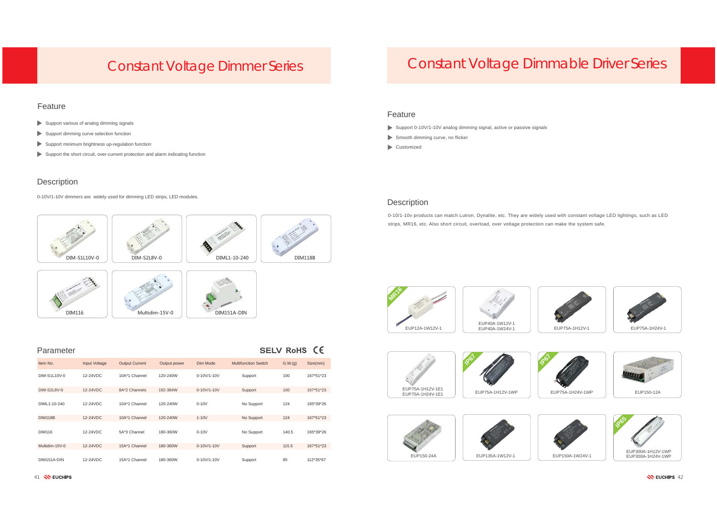DIM116

### Feature

- Support various of analog dimming signals
- Support dimming curve selection function
- Support minimum brightness up-regulation function
- Support the short circuit, over-current protection and alarm indicating function

## **Description**



0 DIM151A-DIN

#### SELV RoHS CE Parameter Item No. Input Voltage Output Current Output power Dim Mode Multifunction Switch G.W.(g) Size(mm) DIM-S1L10V-0 12-24VDC 10A\*1 Channel 120-240W 0-10V/1-10VSupport 100 167\*51\*23 DIM-S2L8V-0 12-24VDC 8A\*2 Channels 192-384W 0-10V/1-10V S2L8V-0 Support 100 167\*51\*23 DIML1-10-240 12-24VDC 10A\*1 Channel 120-240W 0-10V No Support 124 165\*39\*26 DIM118B 12-24VDC 10A\*1 Channel 120-240W 1-10V No Support 124 167\*51\*23 DIM116 12-24VDC5A\*3 Channel 180-360W 0-10V 10Support 140.5 165\*39\*26 Multidim-15V-0 12-24VDC15A\*1 Channel 180-360W 0-10V/1-10V Support 115.5 167\*51\*23 DIM151A-DINN 12-24VDC 15A\*1 Channel 180-360W 0-10V/1-10V Support 85 112\*35\*67

- Support 0-10V/1-10V analog dimming signal, active or passive signals
- Smooth dimming curve, no flicker
- Customized

## **Description**

0-10V/1-10V dimmers are widely used for dimming LED strips, LED modules.

## Constant Voltage Dimmer Series

## Constant Voltage Dimmable Driver Series







1 NEUCHIPS 42







#### Feature

0-10/1-10v products can match Lutron, Dynalite, etc. They are widely used with constant voltage LED lightings, such as LED strips, MR16, etc. Also short circuit, overload, over voltage protection can make the system safe.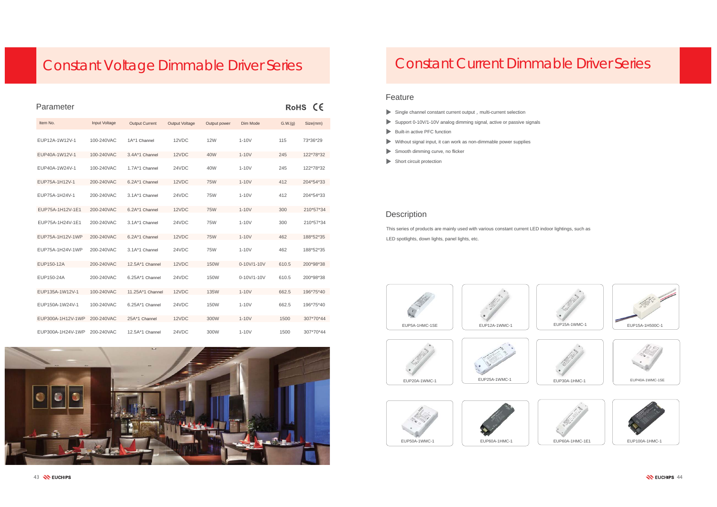#### Feature

- $\blacktriangleright$  Single channel constant current output, multi-current selection
- Support 0-10V/1-10V analog dimming signal, active or passive signals
- Built-in active PFC function
- Without signal input, it can work as non-dimmable power supplies
- Smooth dimming curve, no flicker
- Short circuit protection

### **Description**



This series of products are mainly used with various constant current LED indoor lightings, such as LED spotlights, down lights, panel lights, etc.

## Constant Current Dimmable Driver Series

# Constant Voltage Dimmable Driver Series

| Parameter         |               |                       |                       |              |             |         | RoHS CE   |
|-------------------|---------------|-----------------------|-----------------------|--------------|-------------|---------|-----------|
| Item No.          | Input Voltage | <b>Output Current</b> | <b>Output Voltage</b> | Output power | Dim Mode    | G.W.(q) | Size(mm)  |
| EUP12A-1W12V-1    | 100-240VAC    | 1A*1 Channel          | 12VDC                 | <b>12W</b>   | $1-10V$     | 115     | 73*36*29  |
| EUP40A-1W12V-1    | 100-240VAC    | 3.4A*1 Channel        | 12VDC                 | 40W          | $1-10V$     | 245     | 122*78*32 |
| EUP40A-1W24V-1    | 100-240VAC    | 1.7A*1 Channel        | 24VDC                 | 40W          | $1-10V$     | 245     | 122*78*32 |
| EUP75A-1H12V-1    | 200-240VAC    | 6.2A*1 Channel        | 12VDC                 | <b>75W</b>   | $1-10V$     | 412     | 204*54*33 |
| EUP75A-1H24V-1    | 200-240VAC    | 3.1A*1 Channel        | 24VDC                 | <b>75W</b>   | $1-10V$     | 412     | 204*54*33 |
| EUP75A-1H12V-1E1  | 200-240VAC    | 6.2A*1 Channel        | 12VDC                 | <b>75W</b>   | $1-10V$     | 300     | 210*57*34 |
| EUP75A-1H24V-1E1  | 200-240VAC    | 3.1A*1 Channel        | 24VDC                 | <b>75W</b>   | $1-10V$     | 300     | 210*57*34 |
| EUP75A-1H12V-1WP  | 200-240VAC    | 6.2A*1 Channel        | 12VDC                 | <b>75W</b>   | $1-10V$     | 462     | 188*52*35 |
| EUP75A-1H24V-1WP  | 200-240VAC    | 3.1A*1 Channel        | 24VDC                 | <b>75W</b>   | $1-10V$     | 462     | 188*52*35 |
| EUP150-12A        | 200-240VAC    | 12.5A*1 Channel       | 12VDC                 | <b>150W</b>  | 0-10V/1-10V | 610.5   | 200*98*38 |
| EUP150-24A        | 200-240VAC    | 6.25A*1 Channel       | 24VDC                 | 150W         | 0-10V/1-10V | 610.5   | 200*98*38 |
| EUP135A-1W12V-1   | 100-240VAC    | 11.25A*1 Channel      | 12VDC                 | <b>135W</b>  | $1-10V$     | 662.5   | 196*75*40 |
| EUP150A-1W24V-1   | 100-240VAC    | 6.25A*1 Channel       | 24VDC                 | <b>150W</b>  | $1-10V$     | 662.5   | 196*75*40 |
| EUP300A-1H12V-1WP | 200-240VAC    | 25A*1 Channel         | 12VDC                 | 300W         | $1-10V$     | 1500    | 307*70*44 |
| EUP300A-1H24V-1WP | 200-240VAC    | 12.5A*1 Channel       | 24VDC                 | 300W         | $1-10V$     | 1500    | 307*70*44 |